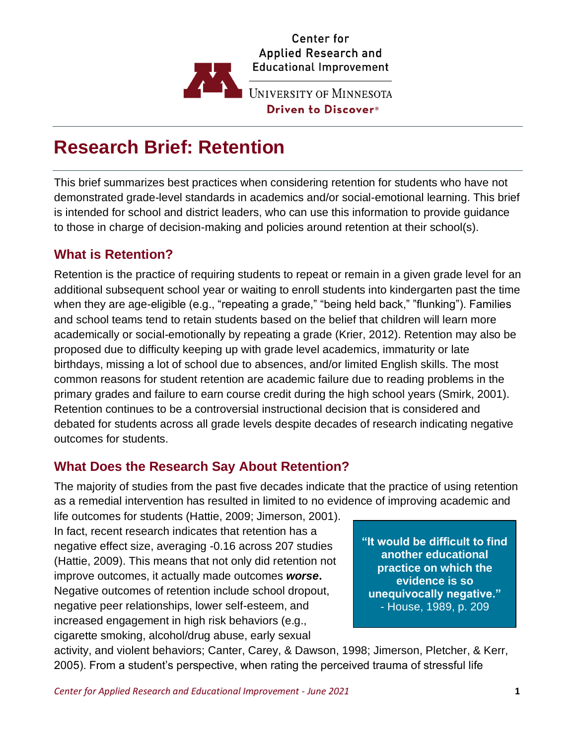

# **Research Brief: Retention**

This brief summarizes best practices when considering retention for students who have not demonstrated grade-level standards in academics and/or social-emotional learning. This brief is intended for school and district leaders, who can use this information to provide guidance to those in charge of decision-making and policies around retention at their school(s).

## **What is Retention?**

Retention is the practice of requiring students to repeat or remain in a given grade level for an additional subsequent school year or waiting to enroll students into kindergarten past the time when they are age-eligible (e.g., "repeating a grade," "being held back," "flunking"). Families and school teams tend to retain students based on the belief that children will learn more academically or social-emotionally by repeating a grade (Krier, 2012). Retention may also be proposed due to difficulty keeping up with grade level academics, immaturity or late birthdays, missing a lot of school due to absences, and/or limited English skills. The most common reasons for student retention are academic failure due to reading problems in the primary grades and failure to earn course credit during the high school years (Smirk, 2001). Retention continues to be a controversial instructional decision that is considered and debated for students across all grade levels despite decades of research indicating negative outcomes for students.

### **What Does the Research Say About Retention?**

The majority of studies from the past five decades indicate that the practice of using retention as a remedial intervention has resulted in limited to no evidence of improving academic and

life outcomes for students (Hattie, 2009; Jimerson, 2001). In fact, recent research indicates that retention has a negative effect size, averaging -0.16 across 207 studies (Hattie, 2009). This means that not only did retention not improve outcomes, it actually made outcomes *worse***.** Negative outcomes of retention include school dropout, negative peer relationships, lower self-esteem, and increased engagement in high risk behaviors (e.g., cigarette smoking, alcohol/drug abuse, early sexual

**"It would be difficult to find another educational practice on which the evidence is so unequivocally negative."** - House, 1989, p. 209

activity, and violent behaviors; Canter, Carey, & Dawson, 1998; Jimerson, Pletcher, & Kerr, 2005). From a student's perspective, when rating the perceived trauma of stressful life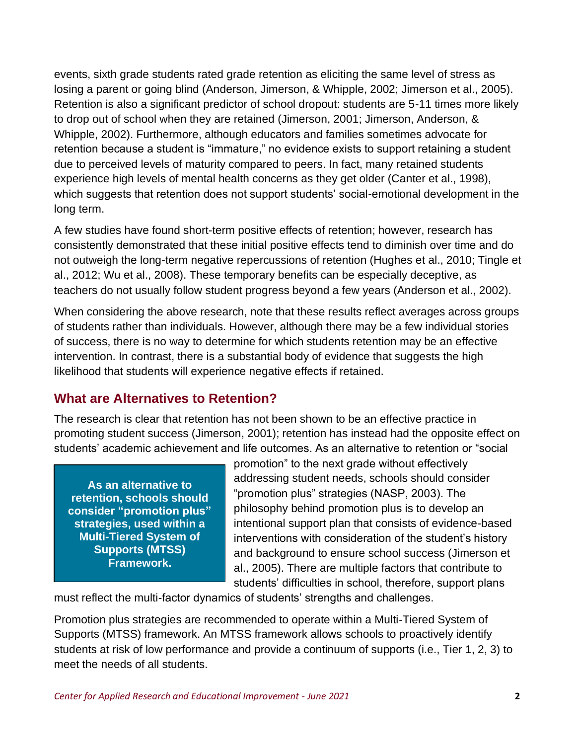events, sixth grade students rated grade retention as eliciting the same level of stress as losing a parent or going blind (Anderson, Jimerson, & Whipple, 2002; Jimerson et al., 2005). Retention is also a significant predictor of school dropout: students are 5-11 times more likely to drop out of school when they are retained (Jimerson, 2001; Jimerson, Anderson, & Whipple, 2002). Furthermore, although educators and families sometimes advocate for retention because a student is "immature," no evidence exists to support retaining a student due to perceived levels of maturity compared to peers. In fact, many retained students experience high levels of mental health concerns as they get older (Canter et al., 1998), which suggests that retention does not support students' social-emotional development in the long term.

A few studies have found short-term positive effects of retention; however, research has consistently demonstrated that these initial positive effects tend to diminish over time and do not outweigh the long-term negative repercussions of retention (Hughes et al., 2010; Tingle et al., 2012; Wu et al., 2008). These temporary benefits can be especially deceptive, as teachers do not usually follow student progress beyond a few years (Anderson et al., 2002).

When considering the above research, note that these results reflect averages across groups of students rather than individuals. However, although there may be a few individual stories of success, there is no way to determine for which students retention may be an effective intervention. In contrast, there is a substantial body of evidence that suggests the high likelihood that students will experience negative effects if retained.

# **What are Alternatives to Retention?**

The research is clear that retention has not been shown to be an effective practice in promoting student success (Jimerson, 2001); retention has instead had the opposite effect on students' academic achievement and life outcomes. As an alternative to retention or "social

**As an alternative to retention, schools should consider "promotion plus" strategies, used within a Multi-Tiered System of Supports (MTSS) Framework.**

promotion" to the next grade without effectively addressing student needs, schools should consider "promotion plus" strategies (NASP, 2003). The philosophy behind promotion plus is to develop an intentional support plan that consists of evidence-based interventions with consideration of the student's history and background to ensure school success (Jimerson et al., 2005). There are multiple factors that contribute to students' difficulties in school, therefore, support plans

must reflect the multi-factor dynamics of students' strengths and challenges.

Promotion plus strategies are recommended to operate within a Multi-Tiered System of Supports (MTSS) framework. An MTSS framework allows schools to proactively identify students at risk of low performance and provide a continuum of supports (i.e., Tier 1, 2, 3) to meet the needs of all students.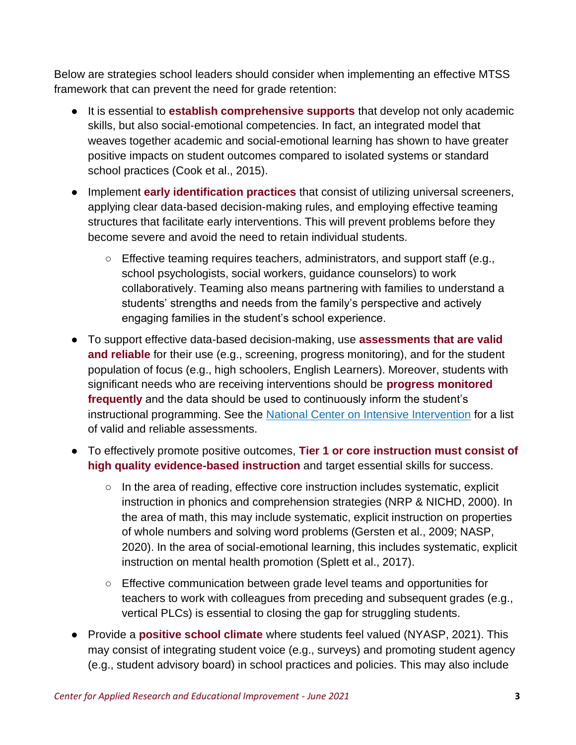Below are strategies school leaders should consider when implementing an effective MTSS framework that can prevent the need for grade retention:

- It is essential to **establish comprehensive supports** that develop not only academic skills, but also social-emotional competencies. In fact, an integrated model that weaves together academic and social-emotional learning has shown to have greater positive impacts on student outcomes compared to isolated systems or standard school practices (Cook et al., 2015).
- Implement **early identification practices** that consist of utilizing universal screeners, applying clear data-based decision-making rules, and employing effective teaming structures that facilitate early interventions. This will prevent problems before they become severe and avoid the need to retain individual students.
	- Effective teaming requires teachers, administrators, and support staff (e.g., school psychologists, social workers, guidance counselors) to work collaboratively. Teaming also means partnering with families to understand a students' strengths and needs from the family's perspective and actively engaging families in the student's school experience.
- To support effective data-based decision-making, use **assessments that are valid and reliable** for their use (e.g., screening, progress monitoring), and for the student population of focus (e.g., high schoolers, English Learners). Moreover, students with significant needs who are receiving interventions should be **progress monitored frequently** and the data should be used to continuously inform the student's instructional programming. See the [National Center on Intensive Intervention](https://charts.intensiveintervention.org/ascreening) for a list of valid and reliable assessments.
- To effectively promote positive outcomes, **Tier 1 or core instruction must consist of high quality evidence-based instruction** and target essential skills for success.
	- $\circ$  In the area of reading, effective core instruction includes systematic, explicit instruction in phonics and comprehension strategies (NRP & NICHD, 2000). In the area of math, this may include systematic, explicit instruction on properties of whole numbers and solving word problems (Gersten et al., 2009; NASP, 2020). In the area of social-emotional learning, this includes systematic, explicit instruction on mental health promotion (Splett et al., 2017).
	- Effective communication between grade level teams and opportunities for teachers to work with colleagues from preceding and subsequent grades (e.g., vertical PLCs) is essential to closing the gap for struggling students.
- Provide a **positive school climate** where students feel valued (NYASP, 2021). This may consist of integrating student voice (e.g., surveys) and promoting student agency (e.g., student advisory board) in school practices and policies. This may also include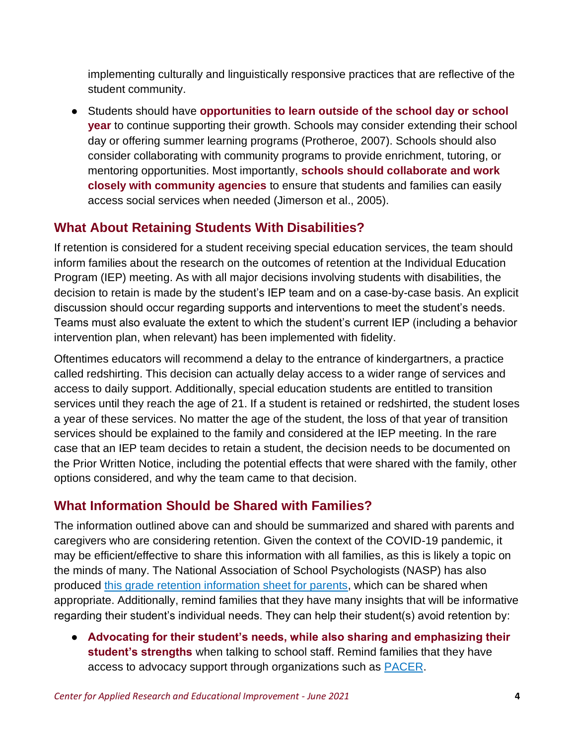implementing culturally and linguistically responsive practices that are reflective of the student community.

● Students should have **opportunities to learn outside of the school day or school year** to continue supporting their growth. Schools may consider extending their school day or offering summer learning programs (Protheroe, 2007). Schools should also consider collaborating with community programs to provide enrichment, tutoring, or mentoring opportunities. Most importantly, **schools should collaborate and work closely with community agencies** to ensure that students and families can easily access social services when needed (Jimerson et al., 2005).

# **What About Retaining Students With Disabilities?**

If retention is considered for a student receiving special education services, the team should inform families about the research on the outcomes of retention at the Individual Education Program (IEP) meeting. As with all major decisions involving students with disabilities, the decision to retain is made by the student's IEP team and on a case-by-case basis. An explicit discussion should occur regarding supports and interventions to meet the student's needs. Teams must also evaluate the extent to which the student's current IEP (including a behavior intervention plan, when relevant) has been implemented with fidelity.

Oftentimes educators will recommend a delay to the entrance of kindergartners, a practice called redshirting. This decision can actually delay access to a wider range of services and access to daily support. Additionally, special education students are entitled to transition services until they reach the age of 21. If a student is retained or redshirted, the student loses a year of these services. No matter the age of the student, the loss of that year of transition services should be explained to the family and considered at the IEP meeting. In the rare case that an IEP team decides to retain a student, the decision needs to be documented on the Prior Written Notice, including the potential effects that were shared with the family, other options considered, and why the team came to that decision.

# **What Information Should be Shared with Families?**

The information outlined above can and should be summarized and shared with parents and caregivers who are considering retention. Given the context of the COVID-19 pandemic, it may be efficient/effective to share this information with all families, as this is likely a topic on the minds of many. The National Association of School Psychologists (NASP) has also produced [this grade retention information sheet for parents,](https://www.nasponline.org/assets/Documents/graderetention.pdf) which can be shared when appropriate. Additionally, remind families that they have many insights that will be informative regarding their student's individual needs. They can help their student(s) avoid retention by:

● **Advocating for their student's needs, while also sharing and emphasizing their student's strengths** when talking to school staff. Remind families that they have access to advocacy support through organizations such as **PACER**.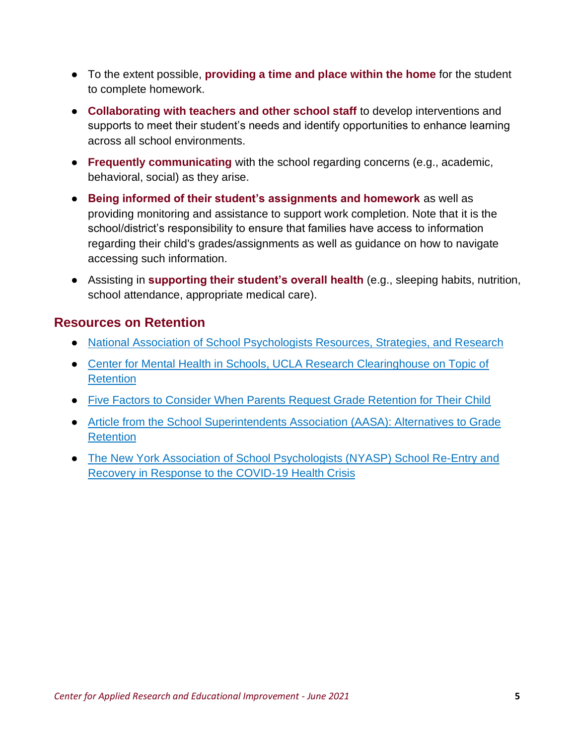- To the extent possible, **providing a time and place within the home** for the student to complete homework.
- **Collaborating with teachers and other school staff** to develop interventions and supports to meet their student's needs and identify opportunities to enhance learning across all school environments.
- **Frequently communicating** with the school regarding concerns (e.g., academic, behavioral, social) as they arise.
- **Being informed of their student's assignments and homework** as well as providing monitoring and assistance to support work completion. Note that it is the school/district's responsibility to ensure that families have access to information regarding their child's grades/assignments as well as guidance on how to navigate accessing such information.
- Assisting in **supporting their student's overall health** (e.g., sleeping habits, nutrition, school attendance, appropriate medical care).

# **Resources on Retention**

- [National Association of School Psychologists Resources, Strategies, and Research](https://apps.nasponline.org/search-results.aspx?q=retention)
- Center for Mental Health in Schools, UCLA Research Clearinghouse on Topic of **[Retention](http://smhp.psych.ucla.edu/qf/p1104_02.htm)**
- [Five Factors to Consider When Parents Request Grade Retention for Their Child](https://districtadministration.com/5-factors-to-consider-when-parents-request-grade-retention-for-their-child/)
- [Article from the School Superintendents Association \(AASA\): Alternatives to Grade](https://www.aasa.org/SchoolAdministratorArticle.aspx?id=15030)  **[Retention](https://www.aasa.org/SchoolAdministratorArticle.aspx?id=15030)**
- [The New York Association of School Psychologists \(NYASP\) School Re-Entry and](https://www.nyasp.org/resources/Covid-19-Practice-Document.pdf)  [Recovery in Response to the COVID-19 Health Crisis](https://www.nyasp.org/resources/Covid-19-Practice-Document.pdf)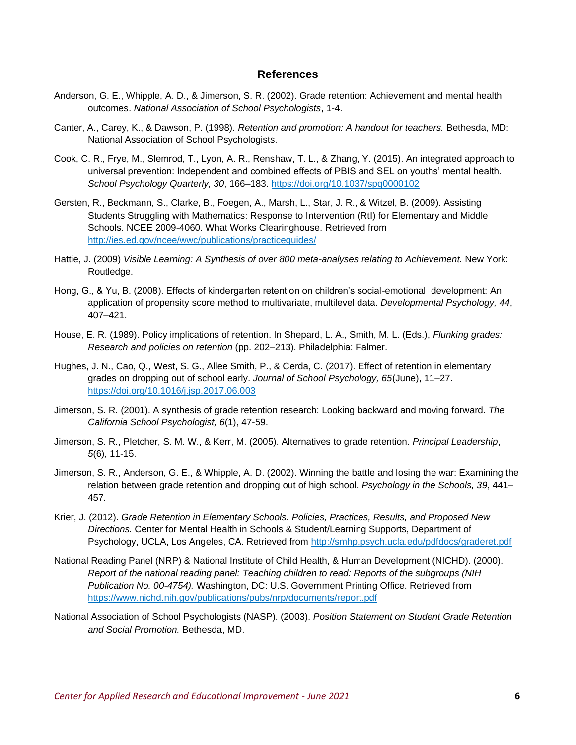#### **References**

- Anderson, G. E., Whipple, A. D., & Jimerson, S. R. (2002). Grade retention: Achievement and mental health outcomes. *National Association of School Psychologists*, 1-4.
- Canter, A., Carey, K., & Dawson, P. (1998). *Retention and promotion: A handout for teachers.* Bethesda, MD: National Association of School Psychologists.
- Cook, C. R., Frye, M., Slemrod, T., Lyon, A. R., Renshaw, T. L., & Zhang, Y. (2015). An integrated approach to universal prevention: Independent and combined effects of PBIS and SEL on youths' mental health. *School Psychology Quarterly, 30*, 166–183.<https://doi.org/10.1037/spq0000102>
- Gersten, R., Beckmann, S., Clarke, B., Foegen, A., Marsh, L., Star, J. R., & Witzel, B. (2009). Assisting Students Struggling with Mathematics: Response to Intervention (RtI) for Elementary and Middle Schools. NCEE 2009-4060. What Works Clearinghouse. Retrieved from <http://ies.ed.gov/ncee/wwc/publications/practiceguides/>
- Hattie, J. (2009) *Visible Learning: A Synthesis of over 800 meta-analyses relating to Achievement.* New York: Routledge.
- Hong, G., & Yu, B. (2008). Effects of kindergarten retention on children's social-emotional development: An application of propensity score method to multivariate, multilevel data. *Developmental Psychology, 44*, 407–421.
- House, E. R. (1989). Policy implications of retention. In Shepard, L. A., Smith, M. L. (Eds.), *Flunking grades: Research and policies on retention* (pp. 202–213). Philadelphia: Falmer.
- Hughes, J. N., Cao, Q., West, S. G., Allee Smith, P., & Cerda, C. (2017). Effect of retention in elementary grades on dropping out of school early. *Journal of School Psychology, 65*(June), 11–27. <https://doi.org/10.1016/j.jsp.2017.06.003>
- Jimerson, S. R. (2001). A synthesis of grade retention research: Looking backward and moving forward. *The California School Psychologist, 6*(1), 47-59.
- Jimerson, S. R., Pletcher, S. M. W., & Kerr, M. (2005). Alternatives to grade retention. *Principal Leadership*, *5*(6), 11-15.
- Jimerson, S. R., Anderson, G. E., & Whipple, A. D. (2002). Winning the battle and losing the war: Examining the relation between grade retention and dropping out of high school. *Psychology in the Schools, 39*, 441– 457.
- Krier, J. (2012). *Grade Retention in Elementary Schools: Policies, Practices, Results, and Proposed New Directions.* Center for Mental Health in Schools & Student/Learning Supports, Department of Psychology, UCLA, Los Angeles, CA. Retrieved from<http://smhp.psych.ucla.edu/pdfdocs/graderet.pdf>
- National Reading Panel (NRP) & National Institute of Child Health, & Human Development (NICHD). (2000). *Report of the national reading panel: Teaching children to read: Reports of the subgroups (NIH Publication No. 00-4754).* Washington, DC: U.S. Government Printing Office. Retrieved from <https://www.nichd.nih.gov/publications/pubs/nrp/documents/report.pdf>
- National Association of School Psychologists (NASP). (2003). *Position Statement on Student Grade Retention and Social Promotion.* Bethesda, MD.